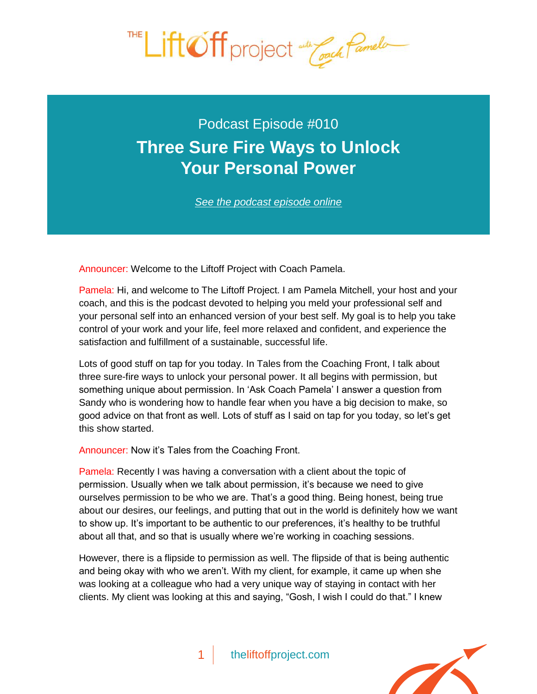

## Podcast Episode #010 **[Three Sure Fire Ways to Unlock](http://theliftoffproject.com/three-sure-fire-ways-to-unlock-your-personal-power/) Your Personal Power**

*See the podcast episode online*

Announcer: Welcome to the Liftoff Project with Coach Pamela.

Pamela: Hi, and welcome to The Liftoff Project. I am Pamela Mitchell, your host and your coach, and this is the podcast devoted to helping you meld your professional self and your personal self into an enhanced version of your best self. My goal is to help you take control of your work and your life, feel more relaxed and confident, and experience the satisfaction and fulfillment of a sustainable, successful life.

Lots of good stuff on tap for you today. In Tales from the Coaching Front, I talk about three sure-fire ways to unlock your personal power. It all begins with permission, but something unique about permission. In 'Ask Coach Pamela' I answer a question from Sandy who is wondering how to handle fear when you have a big decision to make, so good advice on that front as well. Lots of stuff as I said on tap for you today, so let's get this show started.

Announcer: Now it's Tales from the Coaching Front.

Pamela: Recently I was having a conversation with a client about the topic of permission. Usually when we talk about permission, it's because we need to give ourselves permission to be who we are. That's a good thing. Being honest, being true about our desires, our feelings, and putting that out in the world is definitely how we want to show up. It's important to be authentic to our preferences, it's healthy to be truthful about all that, and so that is usually where we're working in coaching sessions.

However, there is a flipside to permission as well. The flipside of that is being authentic and being okay with who we aren't. With my client, for example, it came up when she was looking at a colleague who had a very unique way of staying in contact with her clients. My client was looking at this and saying, "Gosh, I wish I could do that." I knew

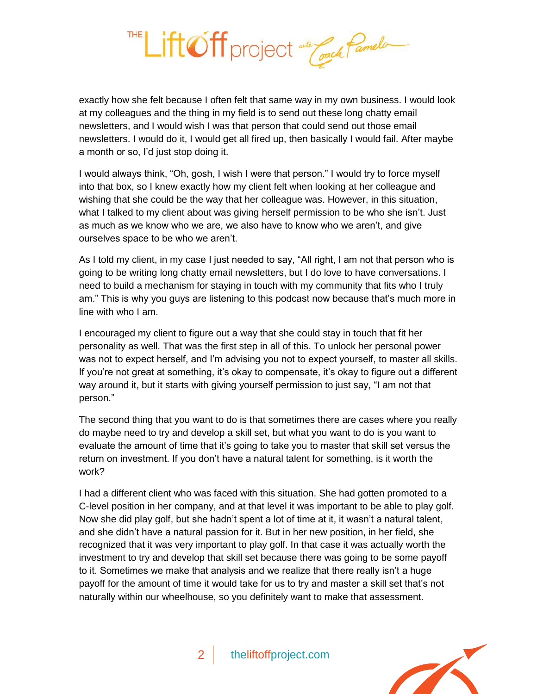

exactly how she felt because I often felt that same way in my own business. I would look at my colleagues and the thing in my field is to send out these long chatty email newsletters, and I would wish I was that person that could send out those email newsletters. I would do it, I would get all fired up, then basically I would fail. After maybe a month or so, I'd just stop doing it.

I would always think, "Oh, gosh, I wish I were that person." I would try to force myself into that box, so I knew exactly how my client felt when looking at her colleague and wishing that she could be the way that her colleague was. However, in this situation, what I talked to my client about was giving herself permission to be who she isn't. Just as much as we know who we are, we also have to know who we aren't, and give ourselves space to be who we aren't.

As I told my client, in my case I just needed to say, "All right, I am not that person who is going to be writing long chatty email newsletters, but I do love to have conversations. I need to build a mechanism for staying in touch with my community that fits who I truly am." This is why you guys are listening to this podcast now because that's much more in line with who I am.

I encouraged my client to figure out a way that she could stay in touch that fit her personality as well. That was the first step in all of this. To unlock her personal power was not to expect herself, and I'm advising you not to expect yourself, to master all skills. If you're not great at something, it's okay to compensate, it's okay to figure out a different way around it, but it starts with giving yourself permission to just say, "I am not that person."

The second thing that you want to do is that sometimes there are cases where you really do maybe need to try and develop a skill set, but what you want to do is you want to evaluate the amount of time that it's going to take you to master that skill set versus the return on investment. If you don't have a natural talent for something, is it worth the work?

I had a different client who was faced with this situation. She had gotten promoted to a C-level position in her company, and at that level it was important to be able to play golf. Now she did play golf, but she hadn't spent a lot of time at it, it wasn't a natural talent, and she didn't have a natural passion for it. But in her new position, in her field, she recognized that it was very important to play golf. In that case it was actually worth the investment to try and develop that skill set because there was going to be some payoff to it. Sometimes we make that analysis and we realize that there really isn't a huge payoff for the amount of time it would take for us to try and master a skill set that's not naturally within our wheelhouse, so you definitely want to make that assessment.

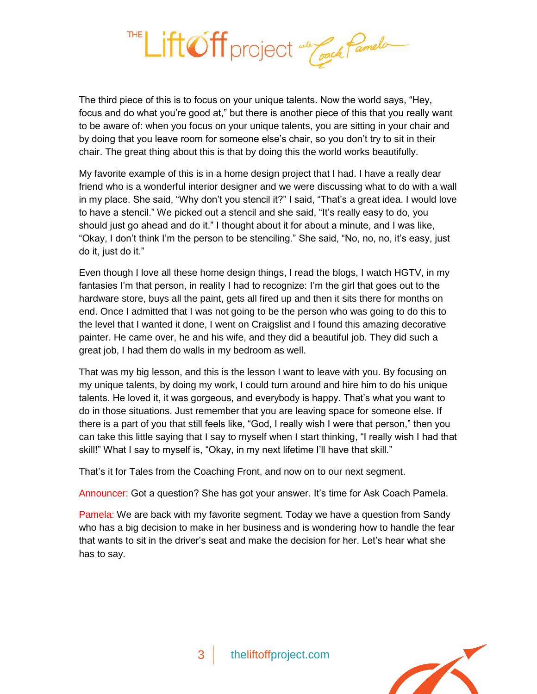

The third piece of this is to focus on your unique talents. Now the world says, "Hey, focus and do what you're good at," but there is another piece of this that you really want to be aware of: when you focus on your unique talents, you are sitting in your chair and by doing that you leave room for someone else's chair, so you don't try to sit in their chair. The great thing about this is that by doing this the world works beautifully.

My favorite example of this is in a home design project that I had. I have a really dear friend who is a wonderful interior designer and we were discussing what to do with a wall in my place. She said, "Why don't you stencil it?" I said, "That's a great idea. I would love to have a stencil." We picked out a stencil and she said, "It's really easy to do, you should just go ahead and do it." I thought about it for about a minute, and I was like, "Okay, I don't think I'm the person to be stenciling." She said, "No, no, no, it's easy, just do it, just do it."

Even though I love all these home design things, I read the blogs, I watch HGTV, in my fantasies I'm that person, in reality I had to recognize: I'm the girl that goes out to the hardware store, buys all the paint, gets all fired up and then it sits there for months on end. Once I admitted that I was not going to be the person who was going to do this to the level that I wanted it done, I went on Craigslist and I found this amazing decorative painter. He came over, he and his wife, and they did a beautiful job. They did such a great job, I had them do walls in my bedroom as well.

That was my big lesson, and this is the lesson I want to leave with you. By focusing on my unique talents, by doing my work, I could turn around and hire him to do his unique talents. He loved it, it was gorgeous, and everybody is happy. That's what you want to do in those situations. Just remember that you are leaving space for someone else. If there is a part of you that still feels like, "God, I really wish I were that person," then you can take this little saying that I say to myself when I start thinking, "I really wish I had that skill!" What I say to myself is, "Okay, in my next lifetime I'll have that skill."

That's it for Tales from the Coaching Front, and now on to our next segment.

Announcer: Got a question? She has got your answer. It's time for Ask Coach Pamela.

Pamela: We are back with my favorite segment. Today we have a question from Sandy who has a big decision to make in her business and is wondering how to handle the fear that wants to sit in the driver's seat and make the decision for her. Let's hear what she has to say.

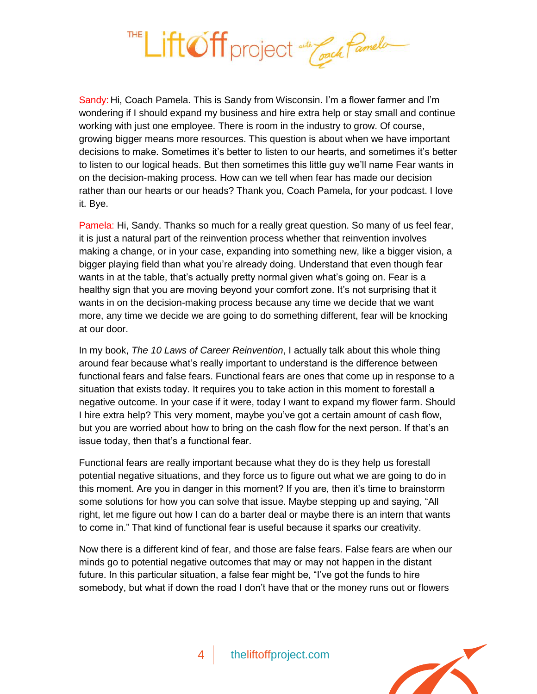

Sandy: Hi, Coach Pamela. This is Sandy from Wisconsin. I'm a flower farmer and I'm wondering if I should expand my business and hire extra help or stay small and continue working with just one employee. There is room in the industry to grow. Of course, growing bigger means more resources. This question is about when we have important decisions to make. Sometimes it's better to listen to our hearts, and sometimes it's better to listen to our logical heads. But then sometimes this little guy we'll name Fear wants in on the decision-making process. How can we tell when fear has made our decision rather than our hearts or our heads? Thank you, Coach Pamela, for your podcast. I love it. Bye.

Pamela: Hi, Sandy. Thanks so much for a really great question. So many of us feel fear, it is just a natural part of the reinvention process whether that reinvention involves making a change, or in your case, expanding into something new, like a bigger vision, a bigger playing field than what you're already doing. Understand that even though fear wants in at the table, that's actually pretty normal given what's going on. Fear is a healthy sign that you are moving beyond your comfort zone. It's not surprising that it wants in on the decision-making process because any time we decide that we want more, any time we decide we are going to do something different, fear will be knocking at our door.

In my book, *The 10 Laws of Career Reinvention*, I actually talk about this whole thing around fear because what's really important to understand is the difference between functional fears and false fears. Functional fears are ones that come up in response to a situation that exists today. It requires you to take action in this moment to forestall a negative outcome. In your case if it were, today I want to expand my flower farm. Should I hire extra help? This very moment, maybe you've got a certain amount of cash flow, but you are worried about how to bring on the cash flow for the next person. If that's an issue today, then that's a functional fear.

Functional fears are really important because what they do is they help us forestall potential negative situations, and they force us to figure out what we are going to do in this moment. Are you in danger in this moment? If you are, then it's time to brainstorm some solutions for how you can solve that issue. Maybe stepping up and saying, "All right, let me figure out how I can do a barter deal or maybe there is an intern that wants to come in." That kind of functional fear is useful because it sparks our creativity.

Now there is a different kind of fear, and those are false fears. False fears are when our minds go to potential negative outcomes that may or may not happen in the distant future. In this particular situation, a false fear might be, "I've got the funds to hire somebody, but what if down the road I don't have that or the money runs out or flowers

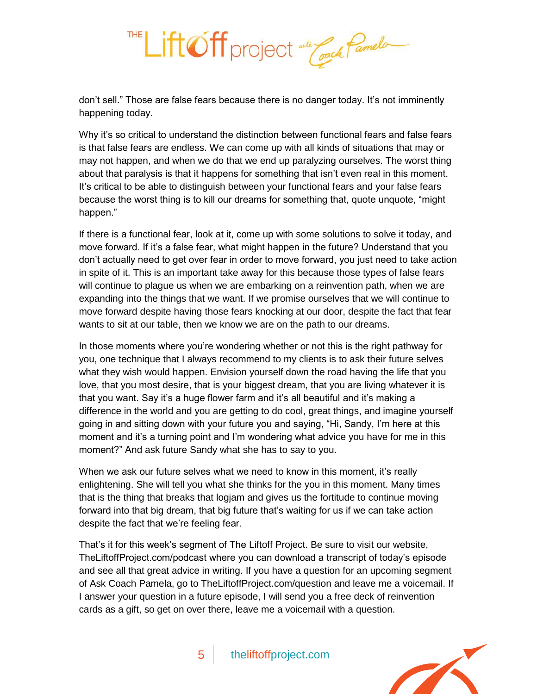

don't sell." Those are false fears because there is no danger today. It's not imminently happening today.

Why it's so critical to understand the distinction between functional fears and false fears is that false fears are endless. We can come up with all kinds of situations that may or may not happen, and when we do that we end up paralyzing ourselves. The worst thing about that paralysis is that it happens for something that isn't even real in this moment. It's critical to be able to distinguish between your functional fears and your false fears because the worst thing is to kill our dreams for something that, quote unquote, "might happen."

If there is a functional fear, look at it, come up with some solutions to solve it today, and move forward. If it's a false fear, what might happen in the future? Understand that you don't actually need to get over fear in order to move forward, you just need to take action in spite of it. This is an important take away for this because those types of false fears will continue to plague us when we are embarking on a reinvention path, when we are expanding into the things that we want. If we promise ourselves that we will continue to move forward despite having those fears knocking at our door, despite the fact that fear wants to sit at our table, then we know we are on the path to our dreams.

In those moments where you're wondering whether or not this is the right pathway for you, one technique that I always recommend to my clients is to ask their future selves what they wish would happen. Envision yourself down the road having the life that you love, that you most desire, that is your biggest dream, that you are living whatever it is that you want. Say it's a huge flower farm and it's all beautiful and it's making a difference in the world and you are getting to do cool, great things, and imagine yourself going in and sitting down with your future you and saying, "Hi, Sandy, I'm here at this moment and it's a turning point and I'm wondering what advice you have for me in this moment?" And ask future Sandy what she has to say to you.

When we ask our future selves what we need to know in this moment, it's really enlightening. She will tell you what she thinks for the you in this moment. Many times that is the thing that breaks that logjam and gives us the fortitude to continue moving forward into that big dream, that big future that's waiting for us if we can take action despite the fact that we're feeling fear.

That's it for this week's segment of The Liftoff Project. Be sure to visit our website, TheLiftoffProject.com/podcast where you can download a transcript of today's episode and see all that great advice in writing. If you have a question for an upcoming segment of Ask Coach Pamela, go to TheLiftoffProject.com/question and leave me a voicemail. If I answer your question in a future episode, I will send you a free deck of reinvention cards as a gift, so get on over there, leave me a voicemail with a question.